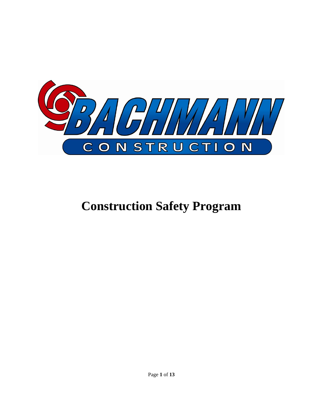

# **Construction Safety Program**

Page **1** of **13**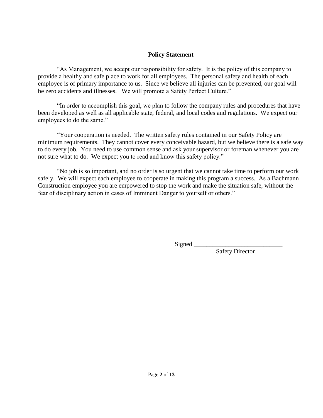#### **Policy Statement**

"As Management, we accept our responsibility for safety. It is the policy of this company to provide a healthy and safe place to work for all employees. The personal safety and health of each employee is of primary importance to us. Since we believe all injuries can be prevented, our goal will be zero accidents and illnesses. We will promote a Safety Perfect Culture."

"In order to accomplish this goal, we plan to follow the company rules and procedures that have been developed as well as all applicable state, federal, and local codes and regulations. We expect our employees to do the same."

"Your cooperation is needed. The written safety rules contained in our Safety Policy are minimum requirements. They cannot cover every conceivable hazard, but we believe there is a safe way to do every job. You need to use common sense and ask your supervisor or foreman whenever you are not sure what to do. We expect you to read and know this safety policy."

"No job is so important, and no order is so urgent that we cannot take time to perform our work safely. We will expect each employee to cooperate in making this program a success. As a Bachmann Construction employee you are empowered to stop the work and make the situation safe, without the fear of disciplinary action in cases of Imminent Danger to yourself or others."

Signed \_\_\_\_\_\_\_\_\_\_\_\_\_\_\_\_\_\_\_\_\_\_\_\_\_\_\_\_

Safety Director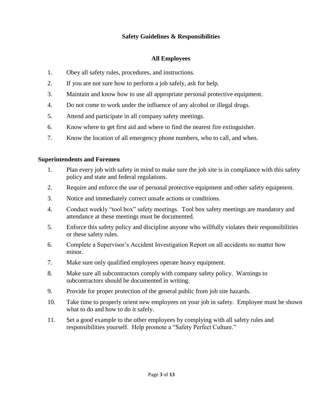## **Safety Guidelines & Responsibilities**

# **All Employees**

- 1. Obey all safety rules, procedures, and instructions.
- 2. If you are not sure how to perform a job safely, ask for help.
- 3. Maintain and know how to use all appropriate personal protective equipment.
- 4. Do not come to work under the influence of any alcohol or illegal drugs.
- 5. Attend and participate in all company safety meetings.
- 6. Know where to get first aid and where to find the nearest fire extinguisher.
- 7. Know the location of all emergency phone numbers, who to call, and when.

# **Superintendents and Foremen**

- 1. Plan every job with safety in mind to make sure the job site is in compliance with this safety policy and state and federal regulations.
- 2. Require and enforce the use of personal protective equipment and other safety equipment.
- 3. Notice and immediately correct unsafe actions or conditions.
- 4. Conduct weekly "tool box" safety meetings. Tool box safety meetings are mandatory and attendance at these meetings must be documented.
- 5. Enforce this safety policy and discipline anyone who willfully violates their responsibilities or these safety rules.
- 6. Complete a Supervisor's Accident Investigation Report on all accidents no matter how minor.
- 7. Make sure only qualified employees operate heavy equipment.
- 8. Make sure all subcontractors comply with company safety policy. Warnings to subcontractors should be documented in writing.
- 9. Provide for proper protection of the general public from job site hazards.
- 10. Take time to properly orient new employees on your job in safety. Employee must be shown what to do and how to do it safely.
- 11. Set a good example to the other employees by complying with all safety rules and responsibilities yourself. Help promote a "Safety Perfect Culture."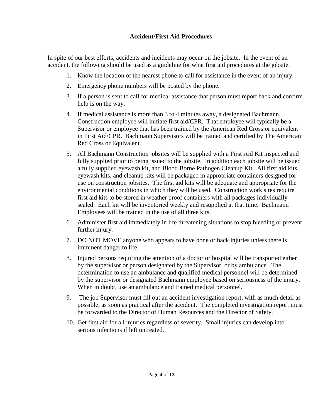## **Accident/First Aid Procedures**

In spite of our best efforts, accidents and incidents may occur on the jobsite. In the event of an accident, the following should be used as a guideline for what first aid procedures at the jobsite.

- 1. Know the location of the nearest phone to call for assistance in the event of an injury.
- 2. Emergency phone numbers will be posted by the phone.
- 3. If a person is sent to call for medical assistance that person must report back and confirm help is on the way.
- 4. If medical assistance is more than 3 to 4 minutes away, a designated Bachmann Construction employee will initiate first aid/CPR. That employee will typically be a Supervisor or employee that has been trained by the American Red Cross or equivalent in First Aid/CPR. Bachmann Supervisors will be trained and certified by The American Red Cross or Equivalent.
- 5. All Bachmann Construction jobsites will be supplied with a First Aid Kit inspected and fully supplied prior to being issued to the jobsite. In addition each jobsite will be issued a fully supplied eyewash kit, and Blood Borne Pathogen Cleanup Kit. All first aid kits, eyewash kits, and cleanup kits will be packaged in appropriate containers designed for use on construction jobsites. The first aid kits will be adequate and appropriate for the environmental conditions in which they will be used. Construction work sites require first aid kits to be stored in weather proof containers with all packages individually sealed. Each kit will be inventoried weekly and resupplied at that time. Bachmann Employees will be trained in the use of all three kits.
- 6. Administer first aid immediately in life threatening situations to stop bleeding or prevent further injury.
- 7. DO NOT MOVE anyone who appears to have bone or back injuries unless there is imminent danger to life.
- 8. Injured persons requiring the attention of a doctor or hospital will be transported either by the supervisor or person designated by the Supervisor, or by ambulance. The determination to use an ambulance and qualified medical personnel will be determined by the supervisor or designated Bachmann employee based on seriousness of the injury. When in doubt, use an ambulance and trained medical personnel.
- 9. The job Supervisor must fill out an accident investigation report, with as much detail as possible, as soon as practical after the accident. The completed investigation report must be forwarded to the Director of Human Resources and the Director of Safety.
- 10. Get first aid for all injuries regardless of severity. Small injuries can develop into serious infections if left untreated.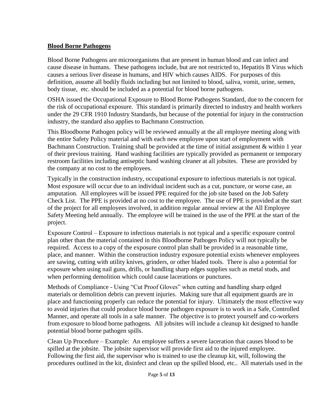#### **Blood Borne Pathogens**

Blood Borne Pathogens are microorganisms that are present in human blood and can infect and cause disease in humans. These pathogens include, but are not restricted to, Hepatitis B Virus which causes a serious liver disease in humans, and HIV which causes AIDS. For purposes of this definition, assume all bodily fluids including but not limited to blood, saliva, vomit, urine, semen, body tissue, etc. should be included as a potential for blood borne pathogens.

OSHA issued the Occupational Exposure to Blood Borne Pathogens Standard, due to the concern for the risk of occupational exposure. This standard is primarily directed to industry and health workers under the 29 CFR 1910 Industry Standards, but because of the potential for injury in the construction industry, the standard also applies to Bachmann Construction.

This Bloodborne Pathogen policy will be reviewed annually at the all employee meeting along with the entire Safety Policy material and with each new employee upon start of employment with Bachmann Construction. Training shall be provided at the time of initial assignment  $\&$  within 1 year of their previous training. Hand washing facilities are typically provided as permanent or temporary restroom facilities including antiseptic hand washing cleaner at all jobsites. These are provided by the company at no cost to the employees.

Typically in the construction industry, occupational exposure to infectious materials is not typical. Most exposure will occur due to an individual incident such as a cut, puncture, or worse case, an amputation. All employees will be issued PPE required for the job site based on the Job Safety Check List. The PPE is provided at no cost to the employee. The use of PPE is provided at the start of the project for all employees involved, in addition regular annual review at the All Employee Safety Meeting held annually. The employee will be trained in the use of the PPE at the start of the project.

Exposure Control – Exposure to infectious materials is not typical and a specific exposure control plan other than the material contained in this Bloodborne Pathogen Policy will not typically be required. Access to a copy of the exposure control plan shall be provided in a reasonable time, place, and manner. Within the construction industry exposure potential exists whenever employees are sawing, cutting with utility knives, grinders, or other bladed tools. There is also a potential for exposure when using nail guns, drills, or handling sharp edges supplies such as metal studs, and when performing demolition which could cause lacerations or punctures.

Methods of Compliance - Using "Cut Proof Gloves" when cutting and handling sharp edged materials or demolition debris can prevent injuries. Making sure that all equipment guards are in place and functioning properly can reduce the potential for injury. Ultimately the most effective way to avoid injuries that could produce blood borne pathogen exposure is to work in a Safe, Controlled Manner, and operate all tools in a safe manner. The objective is to protect yourself and co-workers from exposure to blood borne pathogens. All jobsites will include a cleanup kit designed to handle potential blood borne pathogen spills.

Clean Up Procedure – Example: An employee suffers a severe laceration that causes blood to be spilled at the jobsite. The jobsite supervisor will provide first aid to the injured employee. Following the first aid, the supervisor who is trained to use the cleanup kit, will, following the procedures outlined in the kit, disinfect and clean up the spilled blood, etc.. All materials used in the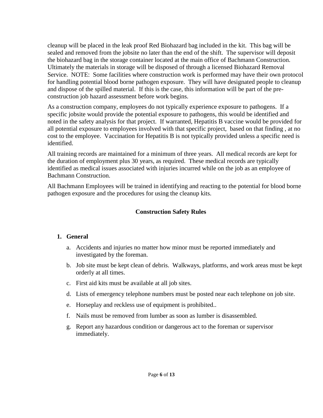cleanup will be placed in the leak proof Red Biohazard bag included in the kit. This bag will be sealed and removed from the jobsite no later than the end of the shift. The supervisor will deposit the biohazard bag in the storage container located at the main office of Bachmann Construction. Ultimately the materials in storage will be disposed of through a licensed Biohazard Removal Service. NOTE: Some facilities where construction work is performed may have their own protocol for handling potential blood borne pathogen exposure. They will have designated people to cleanup and dispose of the spilled material. If this is the case, this information will be part of the preconstruction job hazard assessment before work begins.

As a construction company, employees do not typically experience exposure to pathogens. If a specific jobsite would provide the potential exposure to pathogens, this would be identified and noted in the safety analysis for that project. If warranted, Hepatitis B vaccine would be provided for all potential exposure to employees involved with that specific project, based on that finding , at no cost to the employee. Vaccination for Hepatitis B is not typically provided unless a specific need is identified.

All training records are maintained for a minimum of three years. All medical records are kept for the duration of employment plus 30 years, as required. These medical records are typically identified as medical issues associated with injuries incurred while on the job as an employee of Bachmann Construction.

All Bachmann Employees will be trained in identifying and reacting to the potential for blood borne pathogen exposure and the procedures for using the cleanup kits.

## **Construction Safety Rules**

#### **1. General**

- a. Accidents and injuries no matter how minor must be reported immediately and investigated by the foreman.
- b. Job site must be kept clean of debris. Walkways, platforms, and work areas must be kept orderly at all times.
- c. First aid kits must be available at all job sites.
- d. Lists of emergency telephone numbers must be posted near each telephone on job site.
- e. Horseplay and reckless use of equipment is prohibited..
- f. Nails must be removed from lumber as soon as lumber is disassembled.
- g. Report any hazardous condition or dangerous act to the foreman or supervisor immediately.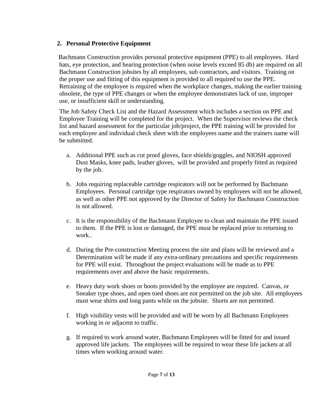# **2. Personal Protective Equipment**

Bachmann Construction provides personal protective equipment (PPE) to all employees. Hard hats, eye protection, and hearing protection (when noise levels exceed 85 db) are required on all Bachmann Construction jobsites by all employees, sub contractors, and visitors. Training on the proper use and fitting of this equipment is provided to all required to use the PPE. Retraining of the employee is required when the workplace changes, making the earlier training obsolete, the type of PPE changes or when the employee demonstrates lack of use, improper use, or insufficient skill or understanding.

The Job Safety Check List and the Hazard Assessment which includes a section on PPE and Employee Training will be completed for the project. When the Supervisor reviews the check list and hazard assessment for the particular job/project, the PPE training will be provided for each employee and individual check sheet with the employees name and the trainers name will be submitted.

- a. Additional PPE such as cut proof gloves, face shields/goggles, and NIOSH approved Dust Masks, knee pads, leather gloves, will be provided and properly fitted as required by the job.
- b. Jobs requiring replaceable cartridge respirators will not be performed by Bachmann Employees. Personal cartridge type respirators owned by employees will not be allowed, as well as other PPE not approved by the Director of Safety for Bachmann Construction is not allowed.
- c. It is the responsibility of the Bachmann Employee to clean and maintain the PPE issued to them. If the PPE is lost or damaged, the PPE must be replaced prior to returning to work..
- d. During the Pre-construction Meeting process the site and plans will be reviewed and a Determination will be made if any extra-ordinary precautions and specific requirements for PPE will exist. Throughout the project evaluations will be made as to PPE requirements over and above the basic requirements.
- e. Heavy duty work shoes or boots provided by the employee are required. Canvas, or Sneaker type shoes, and open toed shoes are not permitted on the job site. All employees must wear shirts and long pants while on the jobsite. Shorts are not permitted.
- f. High visibility vests will be provided and will be worn by all Bachmann Employees working in or adjacent to traffic.
- g. If required to work around water, Bachmann Employees will be fitted for and issued approved life jackets. The employees will be required to wear these life jackets at all times when working around water.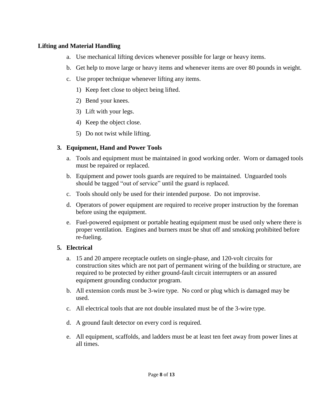#### **Lifting and Material Handling**

- a. Use mechanical lifting devices whenever possible for large or heavy items.
- b. Get help to move large or heavy items and whenever items are over 80 pounds in weight.
- c. Use proper technique whenever lifting any items.
	- 1) Keep feet close to object being lifted.
	- 2) Bend your knees.
	- 3) Lift with your legs.
	- 4) Keep the object close.
	- 5) Do not twist while lifting.

#### **3. Equipment, Hand and Power Tools**

- a. Tools and equipment must be maintained in good working order. Worn or damaged tools must be repaired or replaced.
- b. Equipment and power tools guards are required to be maintained. Unguarded tools should be tagged "out of service" until the guard is replaced.
- c. Tools should only be used for their intended purpose. Do not improvise.
- d. Operators of power equipment are required to receive proper instruction by the foreman before using the equipment.
- e. Fuel-powered equipment or portable heating equipment must be used only where there is proper ventilation. Engines and burners must be shut off and smoking prohibited before re-fueling.

#### **5. Electrical**

- a. 15 and 20 ampere receptacle outlets on single-phase, and 120-volt circuits for construction sites which are not part of permanent wiring of the building or structure, are required to be protected by either ground-fault circuit interrupters or an assured equipment grounding conductor program.
- b. All extension cords must be 3-wire type. No cord or plug which is damaged may be used.
- c. All electrical tools that are not double insulated must be of the 3-wire type.
- d. A ground fault detector on every cord is required.
- e. All equipment, scaffolds, and ladders must be at least ten feet away from power lines at all times.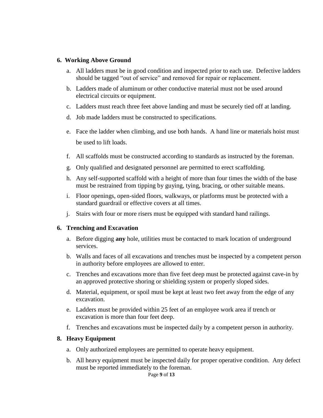#### **6. Working Above Ground**

- a. All ladders must be in good condition and inspected prior to each use. Defective ladders should be tagged "out of service" and removed for repair or replacement.
- b. Ladders made of aluminum or other conductive material must not be used around electrical circuits or equipment.
- c. Ladders must reach three feet above landing and must be securely tied off at landing.
- d. Job made ladders must be constructed to specifications.
- e. Face the ladder when climbing, and use both hands. A hand line or materials hoist must be used to lift loads.
- f. All scaffolds must be constructed according to standards as instructed by the foreman.
- g. Only qualified and designated personnel are permitted to erect scaffolding.
- h. Any self-supported scaffold with a height of more than four times the width of the base must be restrained from tipping by guying, tying, bracing, or other suitable means.
- i. Floor openings, open-sided floors, walkways, or platforms must be protected with a standard guardrail or effective covers at all times.
- j. Stairs with four or more risers must be equipped with standard hand railings.

#### **6. Trenching and Excavation**

- a. Before digging **any** hole, utilities must be contacted to mark location of underground services.
- b. Walls and faces of all excavations and trenches must be inspected by a competent person in authority before employees are allowed to enter.
- c. Trenches and excavations more than five feet deep must be protected against cave-in by an approved protective shoring or shielding system or properly sloped sides.
- d. Material, equipment, or spoil must be kept at least two feet away from the edge of any excavation.
- e. Ladders must be provided within 25 feet of an employee work area if trench or excavation is more than four feet deep.
- f. Trenches and excavations must be inspected daily by a competent person in authority.

#### **8. Heavy Equipment**

- a. Only authorized employees are permitted to operate heavy equipment.
- b. All heavy equipment must be inspected daily for proper operative condition. Any defect must be reported immediately to the foreman.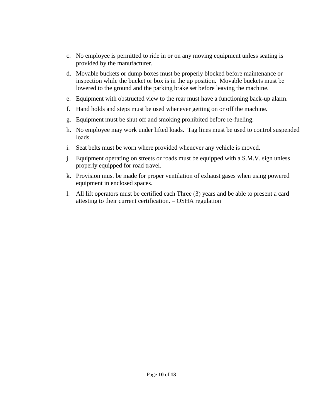- c. No employee is permitted to ride in or on any moving equipment unless seating is provided by the manufacturer.
- d. Movable buckets or dump boxes must be properly blocked before maintenance or inspection while the bucket or box is in the up position. Movable buckets must be lowered to the ground and the parking brake set before leaving the machine.
- e. Equipment with obstructed view to the rear must have a functioning back-up alarm.
- f. Hand holds and steps must be used whenever getting on or off the machine.
- g. Equipment must be shut off and smoking prohibited before re-fueling.
- h. No employee may work under lifted loads. Tag lines must be used to control suspended loads.
- i. Seat belts must be worn where provided whenever any vehicle is moved.
- j. Equipment operating on streets or roads must be equipped with a S.M.V. sign unless properly equipped for road travel.
- k. Provision must be made for proper ventilation of exhaust gases when using powered equipment in enclosed spaces.
- l. All lift operators must be certified each Three (3) years and be able to present a card attesting to their current certification. – OSHA regulation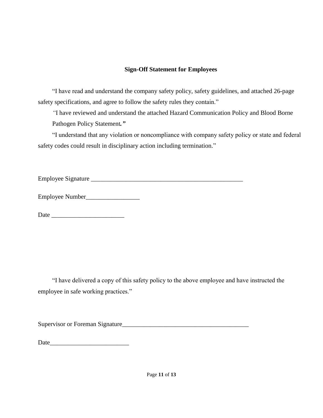# **Sign-Off Statement for Employees**

"I have read and understand the company safety policy, safety guidelines, and attached 26-page safety specifications, and agree to follow the safety rules they contain."

*"*I have reviewed and understand the attached Hazard Communication Policy and Blood Borne Pathogen Policy Statement*."*

"I understand that any violation or noncompliance with company safety policy or state and federal safety codes could result in disciplinary action including termination."

Employee Signature \_\_\_\_\_\_\_\_\_\_\_\_\_\_\_\_\_\_\_\_\_\_\_\_\_\_\_\_\_\_\_\_\_\_\_\_\_\_\_\_\_\_\_\_\_\_\_\_

Employee Number\_\_\_\_\_\_\_\_\_\_\_\_\_\_\_\_\_

Date \_\_\_\_\_\_\_\_\_\_\_\_\_\_\_\_\_\_\_\_\_\_\_

"I have delivered a copy of this safety policy to the above employee and have instructed the employee in safe working practices."

Supervisor or Foreman Signature\_\_\_\_\_\_\_\_\_\_\_\_\_\_\_\_\_\_\_\_\_\_\_\_\_\_\_\_\_\_\_\_\_\_\_\_\_\_\_\_

Date and the set of  $\sim$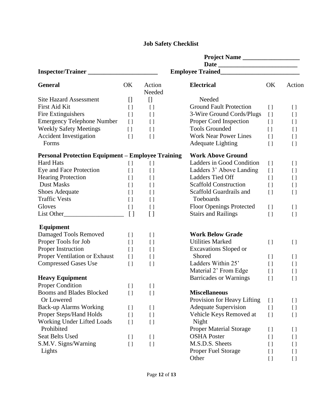# **Job Safety Checklist**

|                                                          |                                   |                                   | Project Name                    |                    |                    |  |  |
|----------------------------------------------------------|-----------------------------------|-----------------------------------|---------------------------------|--------------------|--------------------|--|--|
|                                                          |                                   |                                   |                                 |                    |                    |  |  |
| Inspector/Trainer                                        |                                   |                                   |                                 |                    |                    |  |  |
| <b>General</b>                                           | OK                                | Action<br>Needed                  | <b>Electrical</b>               | OK                 | Action             |  |  |
| <b>Site Hazard Assessment</b>                            | $\begin{bmatrix} 1 \end{bmatrix}$ | $\begin{bmatrix} 1 \end{bmatrix}$ | Needed                          |                    |                    |  |  |
| First Aid Kit                                            | $\left[ \ \right]$                | $\left[ \ \right]$                | <b>Ground Fault Protection</b>  | $\left[ \ \right]$ | $\left[ \ \right]$ |  |  |
| Fire Extinguishers                                       | $\left[ \ \right]$                | [ ]                               | 3-Wire Ground Cords/Plugs       | $[ \ ]$            | $\left[ \ \right]$ |  |  |
| <b>Emergency Telephone Number</b>                        | $\lbrack$                         | $\left[ \ \right]$                | Proper Cord Inspection          | $\left[ \ \right]$ | $\left[ \ \right]$ |  |  |
| <b>Weekly Safety Meetings</b>                            | $\lbrack$                         | $\left[ \ \right]$                | <b>Tools Grounded</b>           | $[ \ ]$            | $\left[ \ \right]$ |  |  |
| <b>Accident Investigation</b>                            | $\left[ \ \right]$                | $\left[ \ \right]$                | <b>Work Near Power Lines</b>    | $\left[ \ \right]$ | $\left[ \ \right]$ |  |  |
| Forms                                                    |                                   |                                   | <b>Adequate Lighting</b>        | $\lceil$           | $\left[ \ \right]$ |  |  |
| <b>Personal Protection Equipment – Employee Training</b> |                                   |                                   | <b>Work Above Ground</b>        |                    |                    |  |  |
| <b>Hard Hats</b>                                         | $\left[ \ \right]$                | $[ \ ]$                           | Ladders in Good Condition       | $\left[ \ \right]$ | $\left[ \ \right]$ |  |  |
| Eye and Face Protection                                  | $\left[ \ \right]$                | $\left[ \ \right]$                | Ladders 3' Above Landing        | $\left[ \ \right]$ | $\left[ \ \right]$ |  |  |
| <b>Hearing Protection</b>                                | $[ \ ]$                           | $\left[ \ \right]$                | Ladders Tied Off                | $\lceil$           | $\left[ \ \right]$ |  |  |
| <b>Dust Masks</b>                                        | $\left[ \ \right]$                | $\left[ \ \right]$                | <b>Scaffold Construction</b>    | $\lceil$           | $\left[ \ \right]$ |  |  |
| <b>Shoes Adequate</b>                                    | $\left[ \ \right]$                | $\left[ \ \right]$                | Scaffold Guardrails and         | $\lceil$           | $\left[ \ \right]$ |  |  |
| <b>Traffic Vests</b>                                     | $\left[ \ \right]$                | $\left[ \ \right]$                | Toeboards                       |                    |                    |  |  |
| Gloves                                                   | $\left[ \ \right]$                | $\left[ \ \right]$                | <b>Floor Openings Protected</b> | $[ \ ]$            | $\left[ \ \right]$ |  |  |
|                                                          | $\lceil$                          | $\left[ \ \right]$                | <b>Stairs and Railings</b>      | $\lceil$           | $\left[ \ \right]$ |  |  |
| <b>Equipment</b>                                         |                                   |                                   |                                 |                    |                    |  |  |
| Damaged Tools Removed                                    | $\left[ \ \right]$                | $\left[ \ \right]$                | <b>Work Below Grade</b>         |                    |                    |  |  |
| Proper Tools for Job                                     | $\left[ \ \right]$                | $\left[ \ \right]$                | <b>Utilities Marked</b>         | $\left[ \ \right]$ | $\left[ \ \right]$ |  |  |
| Proper Instruction                                       | $\left[ \ \right]$                | $\left[ \ \right]$                | Excavations Sloped or           |                    |                    |  |  |
| Proper Ventilation or Exhaust                            | $\left[ \ \right]$                | $\left[ \ \right]$                | Shored                          | $[ \ ]$            | $\left[ \ \right]$ |  |  |
| <b>Compressed Gases Use</b>                              | $\left[ \ \right]$                | [ ]                               | Ladders Within 25'              | $\left[ \ \right]$ | $\left[ \ \right]$ |  |  |
|                                                          |                                   |                                   | Material 2' From Edge           | $[ \ ]$            | $\left[ \ \right]$ |  |  |
| <b>Heavy Equipment</b>                                   |                                   |                                   | <b>Barricades or Warnings</b>   | $\left[ \ \right]$ | $\left[ \ \right]$ |  |  |
| <b>Proper Condition</b>                                  | $\left[ \ \right]$                | $\left[ \ \right]$                |                                 |                    |                    |  |  |
| Booms and Blades Blocked                                 | $\overline{[}$                    | [ ]                               | <b>Miscellaneous</b>            |                    |                    |  |  |
| Or Lowered                                               |                                   |                                   | Provision for Heavy Lifting     | $\left[ \ \right]$ | $\left[ \ \right]$ |  |  |
| <b>Back-up Alarms Working</b>                            | $\left[ \ \right]$                | $\left[ \ \right]$                | <b>Adequate Supervision</b>     | $[ \ ]$            | $\left[ \ \right]$ |  |  |
| Proper Steps/Hand Holds                                  | $\left[ \ \right]$                | [ ]                               | Vehicle Keys Removed at         | $\left[ \ \right]$ | $\left[ \ \right]$ |  |  |
| Working Under Lifted Loads                               | $\left[ \ \right]$                | $\left[ \ \right]$                | Night                           |                    |                    |  |  |
| Prohibited                                               |                                   |                                   | <b>Proper Material Storage</b>  | $[ \ ]$            | $\left[ \ \right]$ |  |  |
| Seat Belts Used                                          | $\left[ \ \right]$                | $\left[ \ \right]$                | <b>OSHA</b> Poster              | $\left[ \ \right]$ | $\left[ \ \right]$ |  |  |
| S.M.V. Signs/Warning                                     | $\left[ \ \right]$                | $[ \ ]$                           | M.S.D.S. Sheets                 | $\left[ \ \right]$ | $\left[ \ \right]$ |  |  |
| Lights                                                   |                                   |                                   | <b>Proper Fuel Storage</b>      | $\left[ \ \right]$ | $\left[ \ \right]$ |  |  |
|                                                          |                                   |                                   | Other                           | $\left[ \ \right]$ | $\left[ \ \right]$ |  |  |